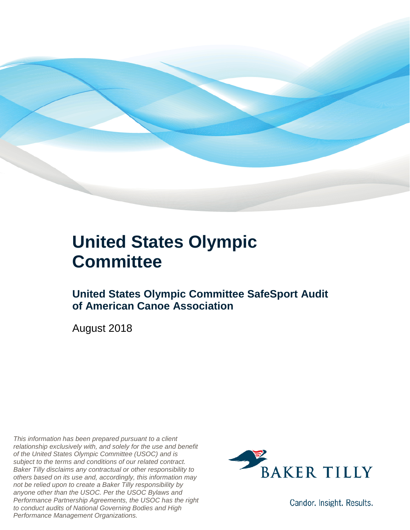

#### **United States Olympic Committee**

#### **United States Olympic Committee SafeSport Audit of American Canoe Association**

August 2018

*This information has been prepared pursuant to a client relationship exclusively with, and solely for the use and benefit of the United States Olympic Committee (USOC) and is subject to the terms and conditions of our related contract. Baker Tilly disclaims any contractual or other responsibility to others based on its use and, accordingly, this information may not be relied upon to create a Baker Tilly responsibility by anyone other than the USOC. Per the USOC Bylaws and Performance Partnership Agreements, the USOC has the right to conduct audits of National Governing Bodies and High Performance Management Organizations.*



Candor. Insight. Results.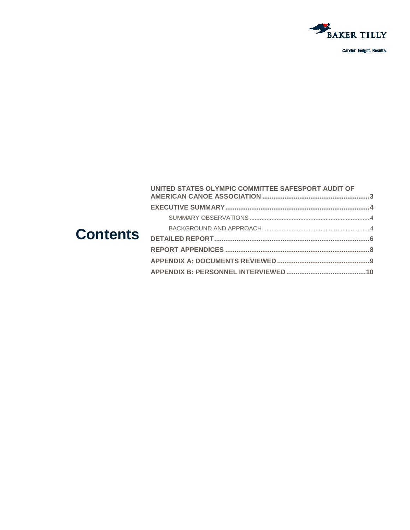

Candor. Insight. Results.

|                 | UNITED STATES OLYMPIC COMMITTEE SAFESPORT AUDIT OF |  |
|-----------------|----------------------------------------------------|--|
| <b>Contents</b> |                                                    |  |
|                 |                                                    |  |
|                 |                                                    |  |
|                 |                                                    |  |
|                 |                                                    |  |
|                 |                                                    |  |
|                 |                                                    |  |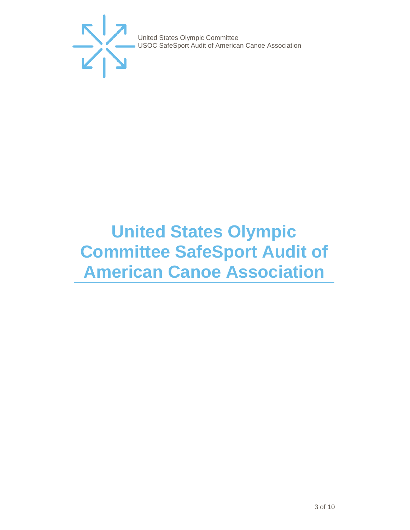

# <span id="page-2-0"></span>**United States Olympic Committee SafeSport Audit of American Canoe Association**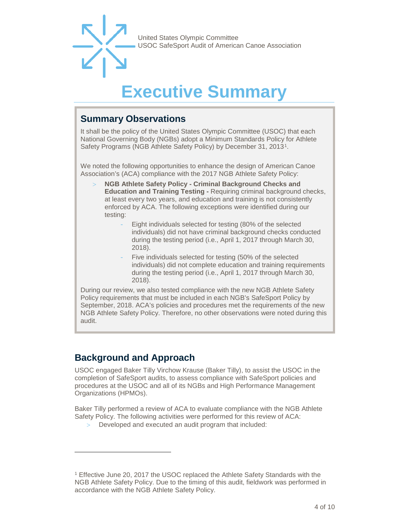

## **Executive Summar**

#### <span id="page-3-1"></span><span id="page-3-0"></span>**Summary Observations**

It shall be the policy of the United States Olympic Committee (USOC) that each National Governing Body (NGBs) adopt a Minimum Standards Policy for Athlete Safety Programs (NGB Athlete Safety Policy) by December 31, 2013[1.](#page-3-3)

We noted the following opportunities to enhance the design of American Canoe Association's (ACA) compliance with the 2017 NGB Athlete Safety Policy:

- > **NGB Athlete Safety Policy - Criminal Background Checks and Education and Training Testing -** Requiring criminal background checks, at least every two years, and education and training is not consistently enforced by ACA. The following exceptions were identified during our testing:
	- Eight individuals selected for testing (80% of the selected individuals) did not have criminal background checks conducted during the testing period (i.e., April 1, 2017 through March 30, 2018).
	- Five individuals selected for testing (50% of the selected individuals) did not complete education and training requirements during the testing period (i.e., April 1, 2017 through March 30, 2018).

During our review, we also tested compliance with the new NGB Athlete Safety Policy requirements that must be included in each NGB's SafeSport Policy by September, 2018. ACA's policies and procedures met the requirements of the new NGB Athlete Safety Policy. Therefore, no other observations were noted during this audit.

#### <span id="page-3-2"></span>**Background and Approach**

-

USOC engaged Baker Tilly Virchow Krause (Baker Tilly), to assist the USOC in the completion of SafeSport audits, to assess compliance with SafeSport policies and procedures at the USOC and all of its NGBs and High Performance Management Organizations (HPMOs).

Baker Tilly performed a review of ACA to evaluate compliance with the NGB Athlete Safety Policy. The following activities were performed for this review of ACA:

> Developed and executed an audit program that included:

<span id="page-3-3"></span><sup>1</sup> Effective June 20, 2017 the USOC replaced the Athlete Safety Standards with the NGB Athlete Safety Policy. Due to the timing of this audit, fieldwork was performed in accordance with the NGB Athlete Safety Policy.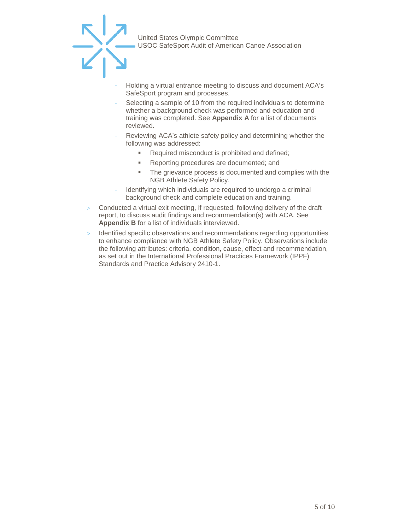

- Holding a virtual entrance meeting to discuss and document ACA's SafeSport program and processes.
- Selecting a sample of 10 from the required individuals to determine whether a background check was performed and education and training was completed. See **Appendix A** for a list of documents reviewed.
- Reviewing ACA's athlete safety policy and determining whether the following was addressed:
	- Required misconduct is prohibited and defined;
	- **Reporting procedures are documented; and**
	- The grievance process is documented and complies with the NGB Athlete Safety Policy.
- Identifying which individuals are required to undergo a criminal background check and complete education and training.
- > Conducted a virtual exit meeting, if requested, following delivery of the draft report, to discuss audit findings and recommendation(s) with ACA. See **Appendix B** for a list of individuals interviewed.
- > Identified specific observations and recommendations regarding opportunities to enhance compliance with NGB Athlete Safety Policy. Observations include the following attributes: criteria, condition, cause, effect and recommendation, as set out in the International Professional Practices Framework (IPPF) Standards and Practice Advisory 2410-1.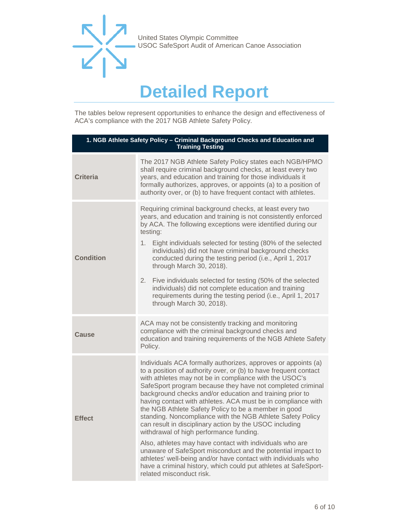

### **Detailed Report**

<span id="page-5-0"></span>The tables below represent opportunities to enhance the design and effectiveness of ACA's compliance with the 2017 NGB Athlete Safety Policy.

| 1. NGB Athlete Safety Policy - Criminal Background Checks and Education and<br><b>Training Testing</b> |                                                                                                                                                                                                                                                                                                                                                                                                                                                                                                                                                                                                                                                                                                                                                                                                                                                                                                              |  |
|--------------------------------------------------------------------------------------------------------|--------------------------------------------------------------------------------------------------------------------------------------------------------------------------------------------------------------------------------------------------------------------------------------------------------------------------------------------------------------------------------------------------------------------------------------------------------------------------------------------------------------------------------------------------------------------------------------------------------------------------------------------------------------------------------------------------------------------------------------------------------------------------------------------------------------------------------------------------------------------------------------------------------------|--|
| <b>Criteria</b>                                                                                        | The 2017 NGB Athlete Safety Policy states each NGB/HPMO<br>shall require criminal background checks, at least every two<br>years, and education and training for those individuals it<br>formally authorizes, approves, or appoints (a) to a position of<br>authority over, or (b) to have frequent contact with athletes.                                                                                                                                                                                                                                                                                                                                                                                                                                                                                                                                                                                   |  |
| Condition                                                                                              | Requiring criminal background checks, at least every two<br>years, and education and training is not consistently enforced<br>by ACA. The following exceptions were identified during our<br>testing:<br>Eight individuals selected for testing (80% of the selected<br>1.<br>individuals) did not have criminal background checks<br>conducted during the testing period (i.e., April 1, 2017<br>through March 30, 2018).<br>2.<br>Five individuals selected for testing (50% of the selected<br>individuals) did not complete education and training<br>requirements during the testing period (i.e., April 1, 2017<br>through March 30, 2018).                                                                                                                                                                                                                                                            |  |
| Cause                                                                                                  | ACA may not be consistently tracking and monitoring<br>compliance with the criminal background checks and<br>education and training requirements of the NGB Athlete Safety<br>Policy.                                                                                                                                                                                                                                                                                                                                                                                                                                                                                                                                                                                                                                                                                                                        |  |
| <b>Effect</b>                                                                                          | Individuals ACA formally authorizes, approves or appoints (a)<br>to a position of authority over, or (b) to have frequent contact<br>with athletes may not be in compliance with the USOC's<br>SafeSport program because they have not completed criminal<br>background checks and/or education and training prior to<br>having contact with athletes. ACA must be in compliance with<br>the NGB Athlete Safety Policy to be a member in good<br>standing. Noncompliance with the NGB Athlete Safety Policy<br>can result in disciplinary action by the USOC including<br>withdrawal of high performance funding.<br>Also, athletes may have contact with individuals who are<br>unaware of SafeSport misconduct and the potential impact to<br>athletes' well-being and/or have contact with individuals who<br>have a criminal history, which could put athletes at SafeSport-<br>related misconduct risk. |  |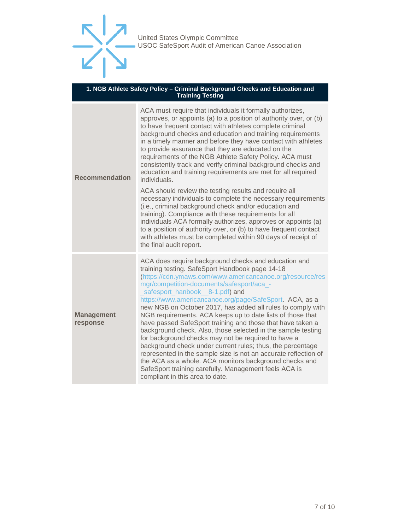

#### **1. NGB Athlete Safety Policy – Criminal Background Checks and Education and Training Testing**

| <b>Recommendation</b>         | ACA must require that individuals it formally authorizes,<br>approves, or appoints (a) to a position of authority over, or (b)<br>to have frequent contact with athletes complete criminal<br>background checks and education and training requirements<br>in a timely manner and before they have contact with athletes<br>to provide assurance that they are educated on the<br>requirements of the NGB Athlete Safety Policy. ACA must<br>consistently track and verify criminal background checks and<br>education and training requirements are met for all required<br>individuals.<br>ACA should review the testing results and require all<br>necessary individuals to complete the necessary requirements<br>(i.e., criminal background check and/or education and<br>training). Compliance with these requirements for all<br>individuals ACA formally authorizes, approves or appoints (a)<br>to a position of authority over, or (b) to have frequent contact<br>with athletes must be completed within 90 days of receipt of |
|-------------------------------|-------------------------------------------------------------------------------------------------------------------------------------------------------------------------------------------------------------------------------------------------------------------------------------------------------------------------------------------------------------------------------------------------------------------------------------------------------------------------------------------------------------------------------------------------------------------------------------------------------------------------------------------------------------------------------------------------------------------------------------------------------------------------------------------------------------------------------------------------------------------------------------------------------------------------------------------------------------------------------------------------------------------------------------------|
| <b>Management</b><br>response | the final audit report.<br>ACA does require background checks and education and<br>training testing. SafeSport Handbook page 14-18<br>(https://cdn.ymaws.com/www.americancanoe.org/resource/res<br>mgr/competition-documents/safesport/aca_-<br>safesport_hanbook__8-1.pdf) and<br>https://www.americancanoe.org/page/SafeSport. ACA, as a<br>new NGB on October 2017, has added all rules to comply with<br>NGB requirements. ACA keeps up to date lists of those that<br>have passed SafeSport training and those that have taken a<br>background check. Also, those selected in the sample testing<br>for background checks may not be required to have a<br>background check under current rules; thus, the percentage<br>represented in the sample size is not an accurate reflection of<br>the ACA as a whole. ACA monitors background checks and<br>SafeSport training carefully. Management feels ACA is<br>compliant in this area to date.                                                                                       |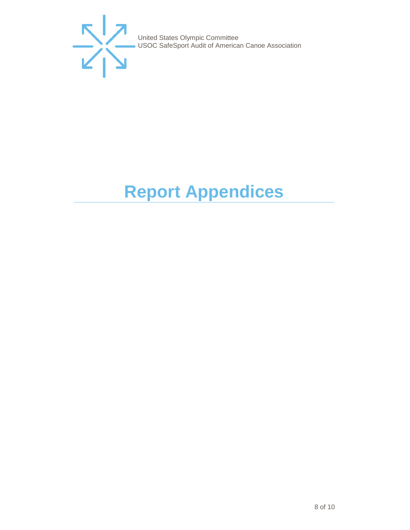

# <span id="page-7-0"></span>**Report Appendices**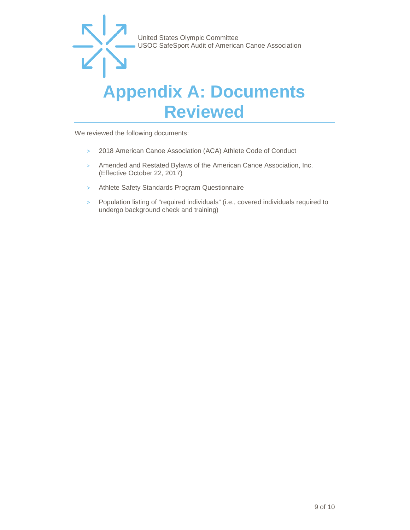

### <span id="page-8-0"></span>**Appendix A: Documents Reviewed**

We reviewed the following documents:

- > 2018 American Canoe Association (ACA) Athlete Code of Conduct
- > Amended and Restated Bylaws of the American Canoe Association, Inc. (Effective October 22, 2017)
- > Athlete Safety Standards Program Questionnaire
- > Population listing of "required individuals" (i.e., covered individuals required to undergo background check and training)